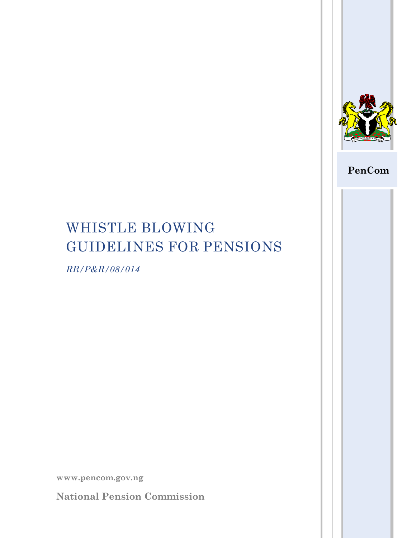

## **PenCom**

# WHISTLE BLOWING GUIDELINES FOR PENSIONS

*RR/P&R/08/014*

**www.pencom.gov.ng**

**National Pension Commission**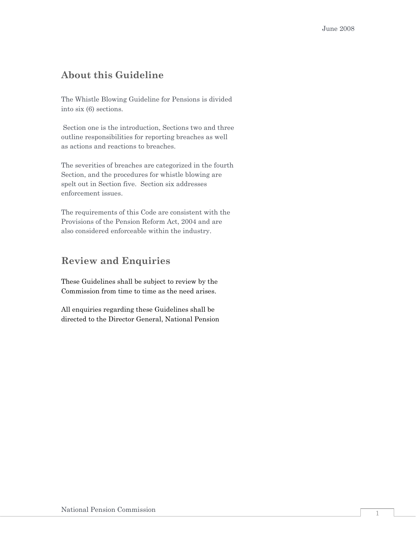## **About this Guideline**

The Whistle Blowing Guideline for Pensions is divided into six (6) sections.

Section one is the introduction, Sections two and three outline responsibilities for reporting breaches as well as actions and reactions to breaches.

The severities of breaches are categorized in the fourth Section, and the procedures for whistle blowing are spelt out in Section five. Section six addresses enforcement issues.

The requirements of this Code are consistent with the Provisions of the Pension Reform Act, 2004 and are also considered enforceable within the industry.

## **Review and Enquiries**

These Guidelines shall be subject to review by the Commission from time to time as the need arises.

All enquiries regarding these Guidelines shall be directed to the Director General, National Pension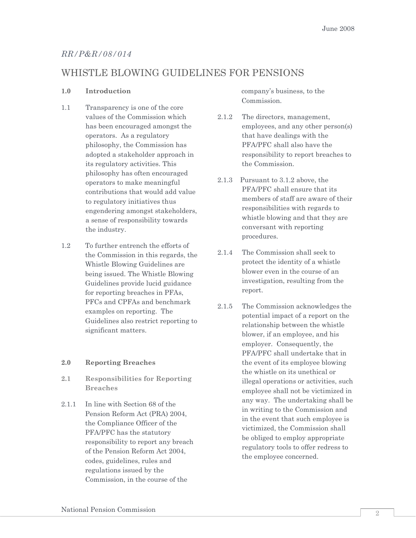#### *RR/P&R/08/014*

### WHISTLE BLOWING GUIDELINES FOR PENSIONS

#### **1.0 Introduction**

- 1.1 Transparency is one of the core values of the Commission which has been encouraged amongst the operators. As a regulatory philosophy, the Commission has adopted a stakeholder approach in its regulatory activities. This philosophy has often encouraged operators to make meaningful contributions that would add value to regulatory initiatives thus engendering amongst stakeholders, a sense of responsibility towards the industry.
- 1.2 To further entrench the efforts of the Commission in this regards, the Whistle Blowing Guidelines are being issued. The Whistle Blowing Guidelines provide lucid guidance for reporting breaches in PFAs, PFCs and CPFAs and benchmark examples on reporting. The Guidelines also restrict reporting to significant matters.

#### **2.0 Reporting Breaches**

- **2.1 Responsibilities for Reporting Breaches**
- 2.1.1 In line with Section 68 of the Pension Reform Act (PRA) 2004, the Compliance Officer of the PFA/PFC has the statutory responsibility to report any breach of the Pension Reform Act 2004, codes, guidelines, rules and regulations issued by the Commission, in the course of the

company"s business, to the Commission.

- 2.1.2 The directors, management, employees, and any other person(s) that have dealings with the PFA/PFC shall also have the responsibility to report breaches to the Commission.
- 2.1.3 Pursuant to 3.1.2 above, the PFA/PFC shall ensure that its members of staff are aware of their responsibilities with regards to whistle blowing and that they are conversant with reporting procedures.
- 2.1.4 The Commission shall seek to protect the identity of a whistle blower even in the course of an investigation, resulting from the report.
- 2.1.5 The Commission acknowledges the potential impact of a report on the relationship between the whistle blower, if an employee, and his employer. Consequently, the PFA/PFC shall undertake that in the event of its employee blowing the whistle on its unethical or illegal operations or activities, such employee shall not be victimized in any way. The undertaking shall be in writing to the Commission and in the event that such employee is victimized, the Commission shall be obliged to employ appropriate regulatory tools to offer redress to the employee concerned.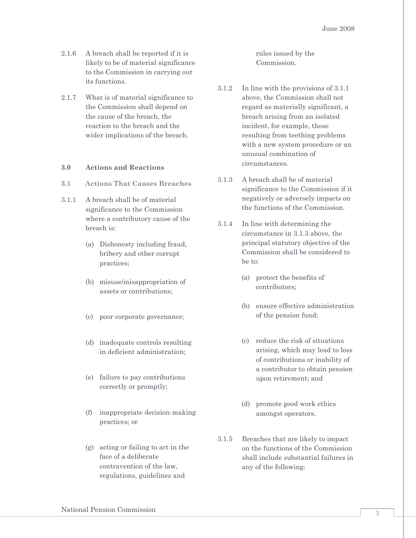- 2.1.6 A breach shall be reported if it is likely to be of material significance to the Commission in carrying out its functions.
- 2.1.7 What is of material significance to the Commission shall depend on the cause of the breach, the reaction to the breach and the wider implications of the breach.

#### **3.0 Actions and Reactions**

- **3.1 Actions That Causes Breaches**
- 3.1.1 A breach shall be of material significance to the Commission where a contributory cause of the breach is:
	- (a) Dishonesty including fraud, bribery and other corrupt practices;
	- (b) misuse/misappropriation of assets or contributions;
	- (c) poor corporate governance;
	- (d) inadequate controls resulting in deficient administration;
	- (e) failure to pay contributions correctly or promptly;
	- (f) inappropriate decision-making practices; or
	- (g) acting or failing to act in the face of a deliberate contravention of the law, regulations, guidelines and

rules issued by the Commission.

- 3.1.2 In line with the provisions of 3.1.1 above, the Commission shall not regard as materially significant, a breach arising from an isolated incident, for example, those resulting from teething problems with a new system procedure or an unusual combination of circumstances.
- 3.1.3 A breach shall be of material significance to the Commission if it negatively or adversely impacts on the functions of the Commission.
- 3.1.4 In line with determining the circumstance in 3.1.3 above, the principal statutory objective of the Commission shall be considered to be to:
	- (a) protect the benefits of contributors;
	- (b) ensure effective administration of the pension fund;
	- (c) reduce the risk of situations arising, which may lead to loss of contributions or inability of a contributor to obtain pension upon retirement; and
	- (d) promote good work ethics amongst operators.
- 3.1.5 Breaches that are likely to impact on the functions of the Commission shall include substantial failures in any of the following: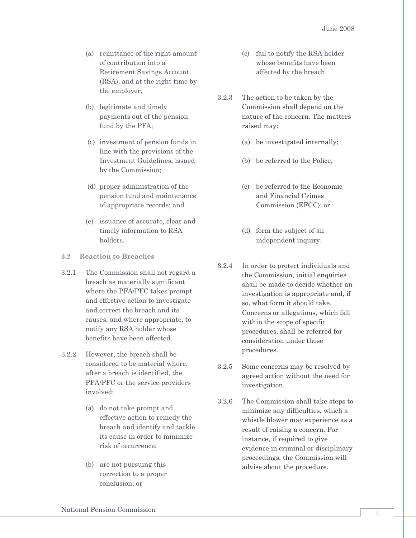- (a) remittance of the right amount of contribution into a Retirement Savings Account (RSA), and at the right time by the employer;
- (b) legitimate and timely payments out of the pension fund by the PFA;
- (c) investment of pension funds in line with the provisions of the Investment Guidelines, issued by the Commission;
- (d) proper administration of the pension fund and maintenance of appropriate records; and
- (e) issuance of accurate, clear and timely information to RSA holders.
- **3.2 Reaction to Breaches**
- 3.2.1 The Commission shall not regard a breach as materially significant where the PFA/PFC takes prompt and effective action to investigate and correct the breach and its causes, and where appropriate, to notify any RSA holder whose benefits have been affected.
- 3.2.2 However, the breach shall be considered to be material where, after a breach is identified, the PFA/PFC or the service providers involved:
	- (a) do not take prompt and effective action to remedy the breach and identify and tackle its cause in order to minimize risk of occurrence;
	- (b) are not pursuing this correction to a proper conclusion; or
- (c) fail to notify the RSA holder whose benefits have been affected by the breach.
- 3.2.3 The action to be taken by the Commission shall depend on the nature of the concern. The matters raised may:
	- (a) be investigated internally;
	- (b) be referred to the Police;
	- (c) be referred to the Economic and Financial Crimes Commission (EFCC); or
	- (d) form the subject of an independent inquiry.
- 3.2.4 In order to protect individuals and the Commission, initial enquiries shall be made to decide whether an investigation is appropriate and, if so, what form it should take. Concerns or allegations, which fall within the scope of specific procedures, shall be referred for consideration under those procedures.
- 3.2.5 Some concerns may be resolved by agreed action without the need for investigation.
- 3.2.6 The Commission shall take steps to minimize any difficulties, which a whistle blower may experience as a result of raising a concern. For instance, if required to give evidence in criminal or disciplinary proceedings, the Commission will advise about the procedure.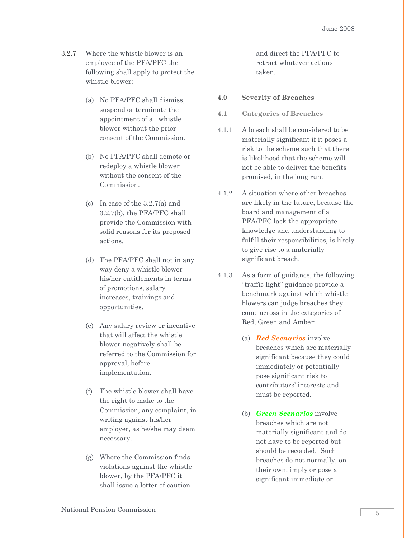- 3.2.7 Where the whistle blower is an employee of the PFA/PFC the following shall apply to protect the whistle blower:
	- (a) No PFA/PFC shall dismiss, suspend or terminate the appointment of a whistle blower without the prior consent of the Commission.
	- (b) No PFA/PFC shall demote or redeploy a whistle blower without the consent of the Commission.
	- (c) In case of the 3.2.7(a) and 3.2.7(b), the PFA/PFC shall provide the Commission with solid reasons for its proposed actions.
	- (d) The PFA/PFC shall not in any way deny a whistle blower his/her entitlements in terms of promotions, salary increases, trainings and opportunities.
	- (e) Any salary review or incentive that will affect the whistle blower negatively shall be referred to the Commission for approval, before implementation.
	- (f) The whistle blower shall have the right to make to the Commission, any complaint, in writing against his/her employer, as he/she may deem necessary.
	- (g) Where the Commission finds violations against the whistle blower, by the PFA/PFC it shall issue a letter of caution

and direct the PFA/PFC to retract whatever actions taken.

- **4.0 Severity of Breaches**
- **4.1 Categories of Breaches**
- 4.1.1 A breach shall be considered to be materially significant if it poses a risk to the scheme such that there is likelihood that the scheme will not be able to deliver the benefits promised, in the long run.
- 4.1.2 A situation where other breaches are likely in the future, because the board and management of a PFA/PFC lack the appropriate knowledge and understanding to fulfill their responsibilities, is likely to give rise to a materially significant breach.
- 4.1.3 As a form of guidance, the following "traffic light" guidance provide a benchmark against which whistle blowers can judge breaches they come across in the categories of Red, Green and Amber:
	- (a) *Red Scenarios* involve breaches which are materially significant because they could immediately or potentially pose significant risk to contributors" interests and must be reported.
	- (b) *Green Scenarios* involve breaches which are not materially significant and do not have to be reported but should be recorded. Such breaches do not normally, on their own, imply or pose a significant immediate or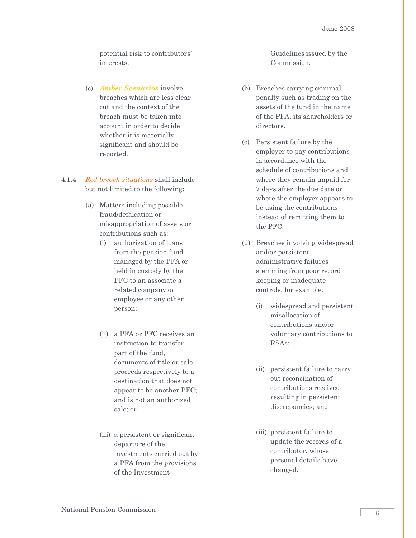potential risk to contributors" interests.

- (c) *Amber Scenarios* involve breaches which are less clear cut and the context of the breach must be taken into account in order to decide whether it is materially significant and should be reported.
- 4.1.4 *Red breach situations* shall include but not limited to the following:
	- (a) Matters including possible fraud/defalcation or misappropriation of assets or contributions such as:
		- (i) authorization of loans from the pension fund managed by the PFA or held in custody by the PFC to an associate a related company or employee or any other person;
		- (ii) a PFA or PFC receives an instruction to transfer part of the fund, documents of title or sale proceeds respectively to a destination that does not appear to be another PFC; and is not an authorized sale; or
		- (iii) a persistent or significant departure of the investments carried out by a PFA from the provisions of the Investment

Guidelines issued by the Commission.

- (b) Breaches carrying criminal penalty such as trading on the assets of the fund in the name of the PFA, its shareholders or directors.
- (c) Persistent failure by the employer to pay contributions in accordance with the schedule of contributions and where they remain unpaid for 7 days after the due date or where the employer appears to be using the contributions instead of remitting them to the PFC.
- (d) Breaches involving widespread and/or persistent administrative failures stemming from poor record keeping or inadequate controls, for example:
	- (i) widespread and persistent misallocation of contributions and/or voluntary contributions to RSAs;
	- (ii) persistent failure to carry out reconciliation of contributions received resulting in persistent discrepancies; and
	- (iii) persistent failure to update the records of a contributor, whose personal details have changed.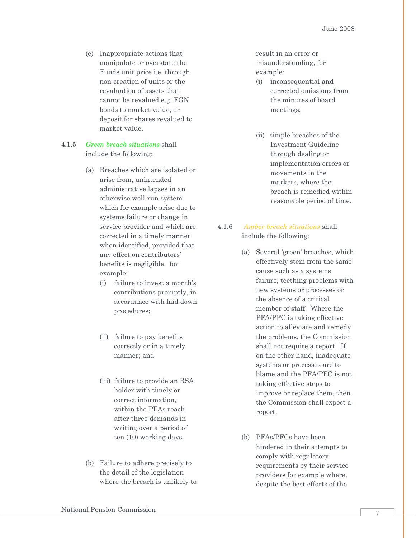(e) Inappropriate actions that manipulate or overstate the Funds unit price i.e. through non-creation of units or the revaluation of assets that cannot be revalued e.g. FGN bonds to market value, or deposit for shares revalued to market value.

#### 4.1.5 *Green breach situations* shall include the following:

- (a) Breaches which are isolated or arise from, unintended administrative lapses in an otherwise well-run system which for example arise due to systems failure or change in service provider and which are corrected in a timely manner when identified, provided that any effect on contributors' benefits is negligible. for example:
	- (i) failure to invest a month"s contributions promptly, in accordance with laid down procedures;
	- (ii) failure to pay benefits correctly or in a timely manner; and
	- (iii) failure to provide an RSA holder with timely or correct information, within the PFAs reach. after three demands in writing over a period of ten (10) working days.
- (b) Failure to adhere precisely to the detail of the legislation where the breach is unlikely to

result in an error or misunderstanding, for example:

- (i) inconsequential and corrected omissions from the minutes of board meetings;
- (ii) simple breaches of the Investment Guideline through dealing or implementation errors or movements in the markets, where the breach is remedied within reasonable period of time.
- 4.1.6 *Amber breach situations* shall include the following:
	- (a) Several "green" breaches, which effectively stem from the same cause such as a systems failure, teething problems with new systems or processes or the absence of a critical member of staff. Where the PFA/PFC is taking effective action to alleviate and remedy the problems, the Commission shall not require a report. If on the other hand, inadequate systems or processes are to blame and the PFA/PFC is not taking effective steps to improve or replace them, then the Commission shall expect a report.
	- (b) PFAs/PFCs have been hindered in their attempts to comply with regulatory requirements by their service providers for example where, despite the best efforts of the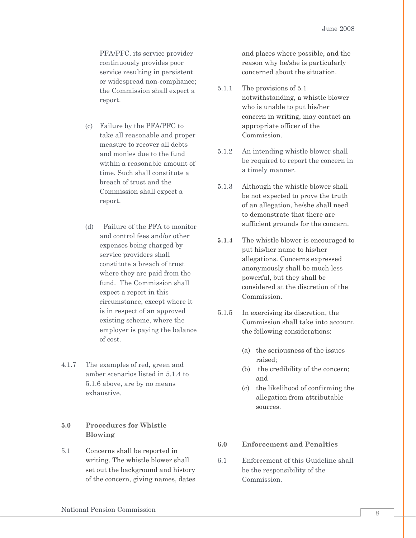PFA/PFC, its service provider continuously provides poor service resulting in persistent or widespread non-compliance; the Commission shall expect a report.

- (c) Failure by the PFA/PFC to take all reasonable and proper measure to recover all debts and monies due to the fund within a reasonable amount of time. Such shall constitute a breach of trust and the Commission shall expect a report.
- (d) Failure of the PFA to monitor and control fees and/or other expenses being charged by service providers shall constitute a breach of trust where they are paid from the fund. The Commission shall expect a report in this circumstance, except where it is in respect of an approved existing scheme, where the employer is paying the balance of cost.
- 4.1.7 The examples of red, green and amber scenarios listed in 5.1.4 to 5.1.6 above, are by no means exhaustive.

#### **5.0 Procedures for Whistle Blowing**

5.1 Concerns shall be reported in writing. The whistle blower shall set out the background and history of the concern, giving names, dates and places where possible, and the reason why he/she is particularly concerned about the situation.

- 5.1.1 The provisions of 5.1 notwithstanding, a whistle blower who is unable to put his/her concern in writing, may contact an appropriate officer of the Commission.
- 5.1.2 An intending whistle blower shall be required to report the concern in a timely manner.
- 5.1.3 Although the whistle blower shall be not expected to prove the truth of an allegation, he/she shall need to demonstrate that there are sufficient grounds for the concern.
- **5.1.4** The whistle blower is encouraged to put his/her name to his/her allegations. Concerns expressed anonymously shall be much less powerful, but they shall be considered at the discretion of the Commission.
- 5.1.5 In exercising its discretion, the Commission shall take into account the following considerations:
	- (a) the seriousness of the issues raised;
	- (b) the credibility of the concern; and
	- (c) the likelihood of confirming the allegation from attributable sources.

#### **6.0 Enforcement and Penalties**

6.1 Enforcement of this Guideline shall be the responsibility of the Commission.